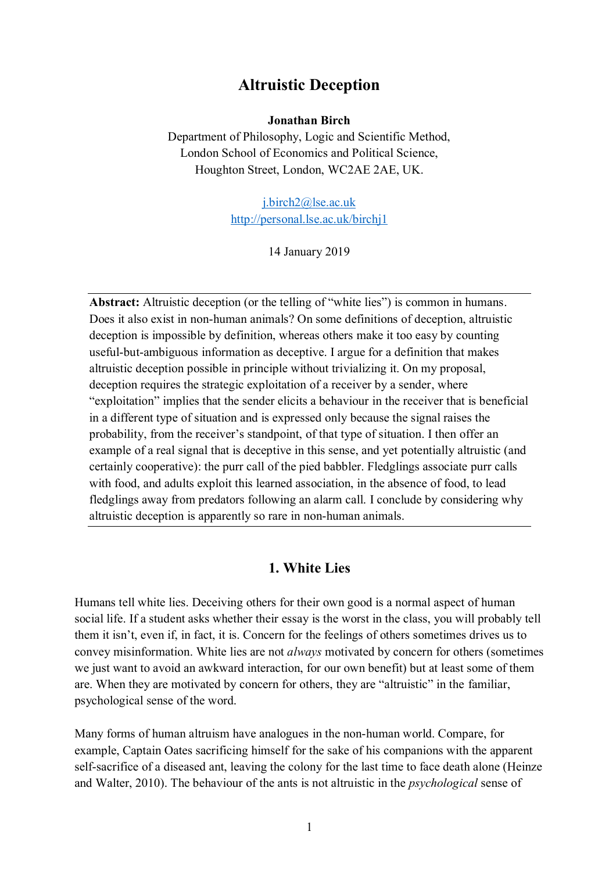## **Altruistic Deception**

#### **Jonathan Birch**

Department of Philosophy, Logic and Scientific Method, London School of Economics and Political Science, Houghton Street, London, WC2AE 2AE, UK.

> [j.birch2@lse.ac.uk](mailto:j.birch2@lse.ac.uk) <http://personal.lse.ac.uk/birchj1>

> > 14 January 2019

Abstract: Altruistic deception (or the telling of "white lies") is common in humans. Does it also exist in non-human animals? On some definitions of deception, altruistic deception is impossible by definition, whereas others make it too easy by counting useful-but-ambiguous information as deceptive. I argue for a definition that makes altruistic deception possible in principle without trivializing it. On my proposal, deception requires the strategic exploitation of a receiver by a sender, where "exploitation" implies that the sender elicits a behaviour in the receiver that is beneficial in a different type of situation and is expressed only because the signal raises the probability, from the receiver's standpoint, of that type of situation. I then offer an example of a real signal that is deceptive in this sense, and yet potentially altruistic (and certainly cooperative): the purr call of the pied babbler. Fledglings associate purr calls with food, and adults exploit this learned association, in the absence of food, to lead fledglings away from predators following an alarm call. I conclude by considering why altruistic deception is apparently so rare in non-human animals.

### **1. White Lies**

Humans tell white lies. Deceiving others for their own good is a normal aspect of human social life. If a student asks whether their essay is the worst in the class, you will probably tell them it isn't, even if, in fact, it is. Concern for the feelings of others sometimes drives us to convey misinformation. White lies are not *always* motivated by concern for others (sometimes we just want to avoid an awkward interaction, for our own benefit) but at least some of them are. When they are motivated by concern for others, they are "altruistic" in the familiar, psychological sense of the word.

Many forms of human altruism have analogues in the non-human world. Compare, for example, Captain Oates sacrificing himself for the sake of his companions with the apparent self-sacrifice of a diseased ant, leaving the colony for the last time to face death alone (Heinze and Walter, 2010). The behaviour of the ants is not altruistic in the *psychological* sense of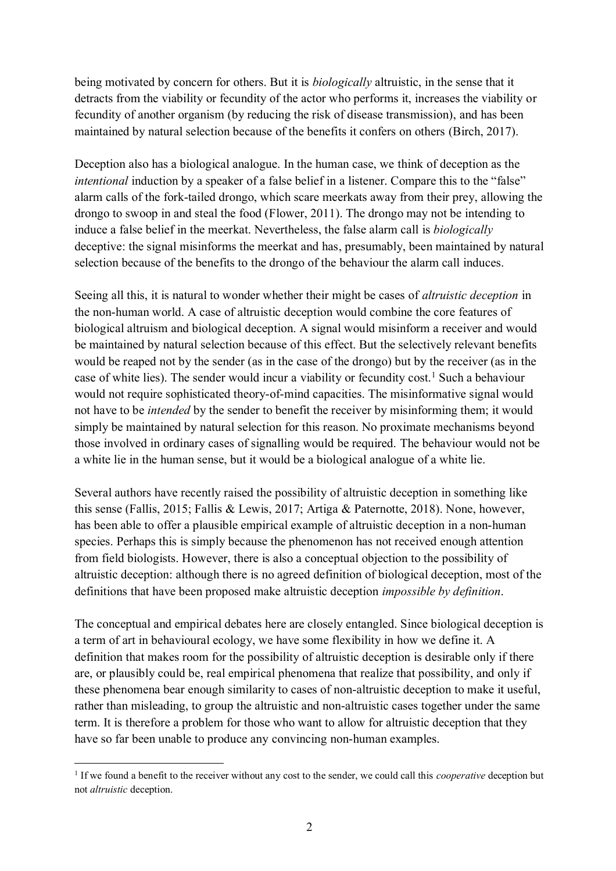being motivated by concern for others. But it is *biologically* altruistic, in the sense that it detracts from the viability or fecundity of the actor who performs it, increases the viability or fecundity of another organism (by reducing the risk of disease transmission), and has been maintained by natural selection because of the benefits it confers on others (Birch, 2017).

Deception also has a biological analogue. In the human case, we think of deception as the *intentional* induction by a speaker of a false belief in a listener. Compare this to the "false" alarm calls of the fork-tailed drongo, which scare meerkats away from their prey, allowing the drongo to swoop in and steal the food (Flower, 2011). The drongo may not be intending to induce a false belief in the meerkat. Nevertheless, the false alarm call is *biologically* deceptive: the signal misinforms the meerkat and has, presumably, been maintained by natural selection because of the benefits to the drongo of the behaviour the alarm call induces.

Seeing all this, it is natural to wonder whether their might be cases of *altruistic deception* in the non-human world. A case of altruistic deception would combine the core features of biological altruism and biological deception. A signal would misinform a receiver and would be maintained by natural selection because of this effect. But the selectively relevant benefits would be reaped not by the sender (as in the case of the drongo) but by the receiver (as in the case of white lies). The sender would incur a viability or fecundity cost.<sup>1</sup> Such a behaviour would not require sophisticated theory-of-mind capacities. The misinformative signal would not have to be *intended* by the sender to benefit the receiver by misinforming them; it would simply be maintained by natural selection for this reason. No proximate mechanisms beyond those involved in ordinary cases of signalling would be required. The behaviour would not be a white lie in the human sense, but it would be a biological analogue of a white lie.

Several authors have recently raised the possibility of altruistic deception in something like this sense (Fallis, 2015; Fallis & Lewis, 2017; Artiga & Paternotte, 2018). None, however, has been able to offer a plausible empirical example of altruistic deception in a non-human species. Perhaps this is simply because the phenomenon has not received enough attention from field biologists. However, there is also a conceptual objection to the possibility of altruistic deception: although there is no agreed definition of biological deception, most of the definitions that have been proposed make altruistic deception *impossible by definition*.

The conceptual and empirical debates here are closely entangled. Since biological deception is a term of art in behavioural ecology, we have some flexibility in how we define it. A definition that makes room for the possibility of altruistic deception is desirable only if there are, or plausibly could be, real empirical phenomena that realize that possibility, and only if these phenomena bear enough similarity to cases of non-altruistic deception to make it useful, rather than misleading, to group the altruistic and non-altruistic cases together under the same term. It is therefore a problem for those who want to allow for altruistic deception that they have so far been unable to produce any convincing non-human examples.

l

<sup>1</sup> If we found a benefit to the receiver without any cost to the sender, we could call this *cooperative* deception but not *altruistic* deception.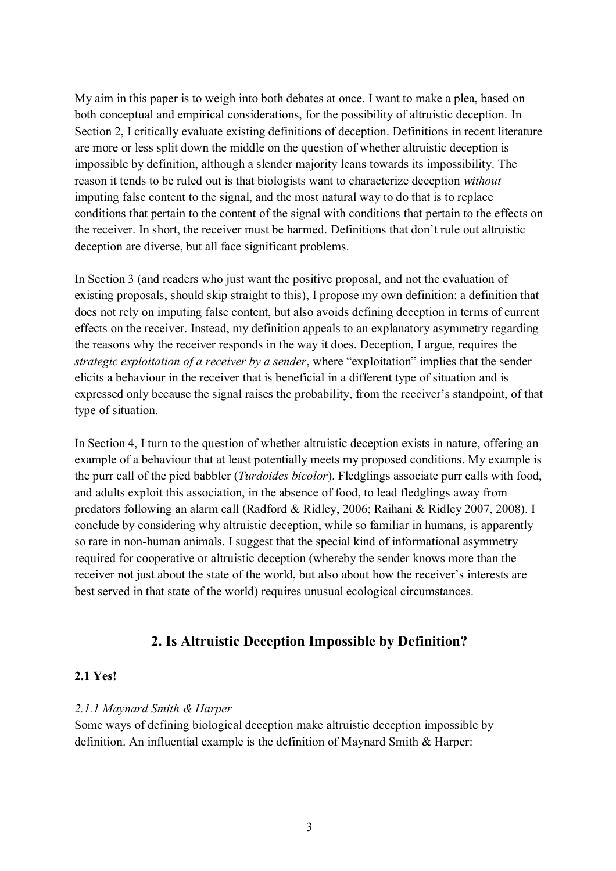My aim in this paper is to weigh into both debates at once. I want to make a plea, based on both conceptual and empirical considerations, for the possibility of altruistic deception. In Section 2, I critically evaluate existing definitions of deception. Definitions in recent literature are more or less split down the middle on the question of whether altruistic deception is impossible by definition, although a slender majority leans towards its impossibility. The reason it tends to be ruled out is that biologists want to characterize deception *without*  imputing false content to the signal, and the most natural way to do that is to replace conditions that pertain to the content of the signal with conditions that pertain to the effects on the receiver. In short, the receiver must be harmed. Definitions that don't rule out altruistic deception are diverse, but all face significant problems.

In Section 3 (and readers who just want the positive proposal, and not the evaluation of existing proposals, should skip straight to this), I propose my own definition: a definition that does not rely on imputing false content, but also avoids defining deception in terms of current effects on the receiver. Instead, my definition appeals to an explanatory asymmetry regarding the reasons why the receiver responds in the way it does. Deception, I argue, requires the *strategic exploitation of a receiver by a sender*, where "exploitation" implies that the sender elicits a behaviour in the receiver that is beneficial in a different type of situation and is expressed only because the signal raises the probability, from the receiver's standpoint, of that type of situation.

In Section 4, I turn to the question of whether altruistic deception exists in nature, offering an example of a behaviour that at least potentially meets my proposed conditions. My example is the purr call of the pied babbler (*Turdoides bicolor*). Fledglings associate purr calls with food, and adults exploit this association, in the absence of food, to lead fledglings away from predators following an alarm call (Radford & Ridley, 2006; Raihani & Ridley 2007, 2008). I conclude by considering why altruistic deception, while so familiar in humans, is apparently so rare in non-human animals. I suggest that the special kind of informational asymmetry required for cooperative or altruistic deception (whereby the sender knows more than the receiver not just about the state of the world, but also about how the receiver's interests are best served in that state of the world) requires unusual ecological circumstances.

## **2. Is Altruistic Deception Impossible by Definition?**

### **2.1 Yes!**

### *2.1.1 Maynard Smith & Harper*

Some ways of defining biological deception make altruistic deception impossible by definition. An influential example is the definition of Maynard Smith & Harper: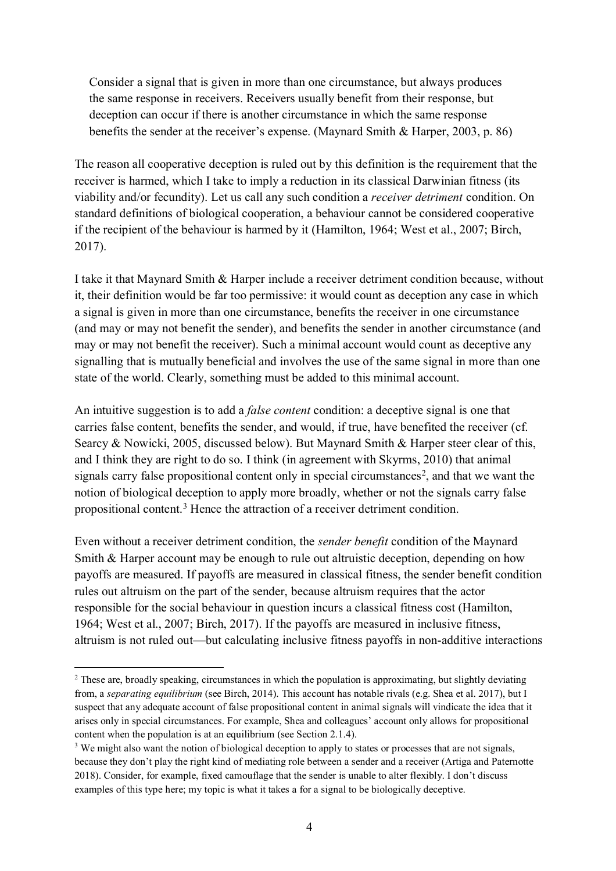Consider a signal that is given in more than one circumstance, but always produces the same response in receivers. Receivers usually benefit from their response, but deception can occur if there is another circumstance in which the same response benefits the sender at the receiver's expense. (Maynard Smith & Harper, 2003, p. 86)

The reason all cooperative deception is ruled out by this definition is the requirement that the receiver is harmed, which I take to imply a reduction in its classical Darwinian fitness (its viability and/or fecundity). Let us call any such condition a *receiver detriment* condition. On standard definitions of biological cooperation, a behaviour cannot be considered cooperative if the recipient of the behaviour is harmed by it (Hamilton, 1964; West et al., 2007; Birch, 2017).

I take it that Maynard Smith & Harper include a receiver detriment condition because, without it, their definition would be far too permissive: it would count as deception any case in which a signal is given in more than one circumstance, benefits the receiver in one circumstance (and may or may not benefit the sender), and benefits the sender in another circumstance (and may or may not benefit the receiver). Such a minimal account would count as deceptive any signalling that is mutually beneficial and involves the use of the same signal in more than one state of the world. Clearly, something must be added to this minimal account.

An intuitive suggestion is to add a *false content* condition: a deceptive signal is one that carries false content, benefits the sender, and would, if true, have benefited the receiver (cf. Searcy & Nowicki, 2005, discussed below). But Maynard Smith & Harper steer clear of this, and I think they are right to do so. I think (in agreement with Skyrms, 2010) that animal signals carry false propositional content only in special circumstances<sup>2</sup>, and that we want the notion of biological deception to apply more broadly, whether or not the signals carry false propositional content.<sup>3</sup> Hence the attraction of a receiver detriment condition.

Even without a receiver detriment condition, the *sender benefit* condition of the Maynard Smith & Harper account may be enough to rule out altruistic deception, depending on how payoffs are measured. If payoffs are measured in classical fitness, the sender benefit condition rules out altruism on the part of the sender, because altruism requires that the actor responsible for the social behaviour in question incurs a classical fitness cost (Hamilton, 1964; West et al., 2007; Birch, 2017). If the payoffs are measured in inclusive fitness, altruism is not ruled out—but calculating inclusive fitness payoffs in non-additive interactions

 $\overline{a}$ 

<sup>&</sup>lt;sup>2</sup> These are, broadly speaking, circumstances in which the population is approximating, but slightly deviating from, a *separating equilibrium* (see Birch, 2014). This account has notable rivals (e.g. Shea et al. 2017), but I suspect that any adequate account of false propositional content in animal signals will vindicate the idea that it arises only in special circumstances. For example, Shea and colleagues' account only allows for propositional content when the population is at an equilibrium (see Section 2.1.4).

<sup>&</sup>lt;sup>3</sup> We might also want the notion of biological deception to apply to states or processes that are not signals, because they don't play the right kind of mediating role between a sender and a receiver (Artiga and Paternotte 2018). Consider, for example, fixed camouflage that the sender is unable to alter flexibly. I don't discuss examples of this type here; my topic is what it takes a for a signal to be biologically deceptive.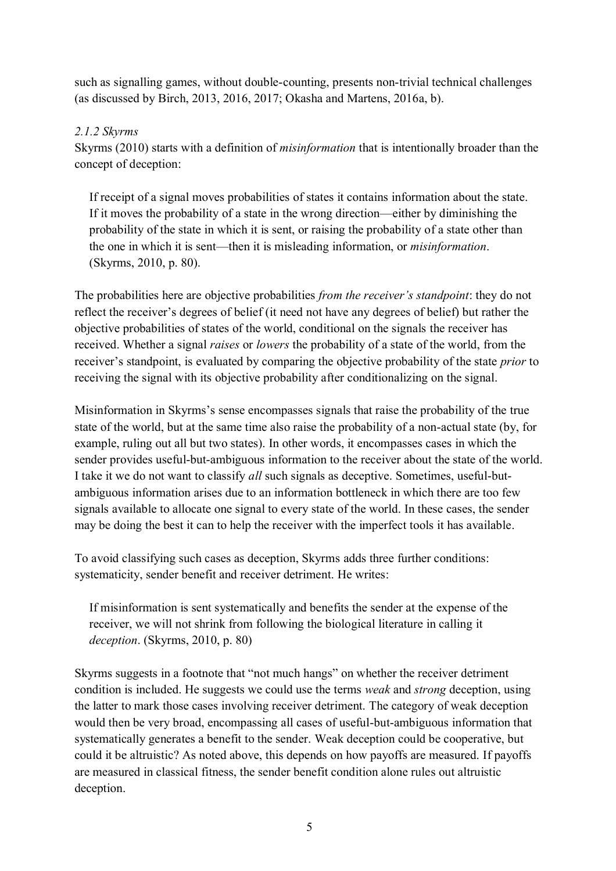such as signalling games, without double-counting, presents non-trivial technical challenges (as discussed by Birch, 2013, 2016, 2017; Okasha and Martens, 2016a, b).

### *2.1.2 Skyrms*

Skyrms (2010) starts with a definition of *misinformation* that is intentionally broader than the concept of deception:

If receipt of a signal moves probabilities of states it contains information about the state. If it moves the probability of a state in the wrong direction—either by diminishing the probability of the state in which it is sent, or raising the probability of a state other than the one in which it is sent—then it is misleading information, or *misinformation*. (Skyrms, 2010, p. 80).

The probabilities here are objective probabilities *from the receiver's standpoint*: they do not reflect the receiver's degrees of belief (it need not have any degrees of belief) but rather the objective probabilities of states of the world, conditional on the signals the receiver has received. Whether a signal *raises* or *lowers* the probability of a state of the world, from the receiver's standpoint, is evaluated by comparing the objective probability of the state *prior* to receiving the signal with its objective probability after conditionalizing on the signal.

Misinformation in Skyrms's sense encompasses signals that raise the probability of the true state of the world, but at the same time also raise the probability of a non-actual state (by, for example, ruling out all but two states). In other words, it encompasses cases in which the sender provides useful-but-ambiguous information to the receiver about the state of the world. I take it we do not want to classify *all* such signals as deceptive. Sometimes, useful-butambiguous information arises due to an information bottleneck in which there are too few signals available to allocate one signal to every state of the world. In these cases, the sender may be doing the best it can to help the receiver with the imperfect tools it has available.

To avoid classifying such cases as deception, Skyrms adds three further conditions: systematicity, sender benefit and receiver detriment. He writes:

If misinformation is sent systematically and benefits the sender at the expense of the receiver, we will not shrink from following the biological literature in calling it *deception*. (Skyrms, 2010, p. 80)

Skyrms suggests in a footnote that "not much hangs" on whether the receiver detriment condition is included. He suggests we could use the terms *weak* and *strong* deception, using the latter to mark those cases involving receiver detriment. The category of weak deception would then be very broad, encompassing all cases of useful-but-ambiguous information that systematically generates a benefit to the sender. Weak deception could be cooperative, but could it be altruistic? As noted above, this depends on how payoffs are measured. If payoffs are measured in classical fitness, the sender benefit condition alone rules out altruistic deception.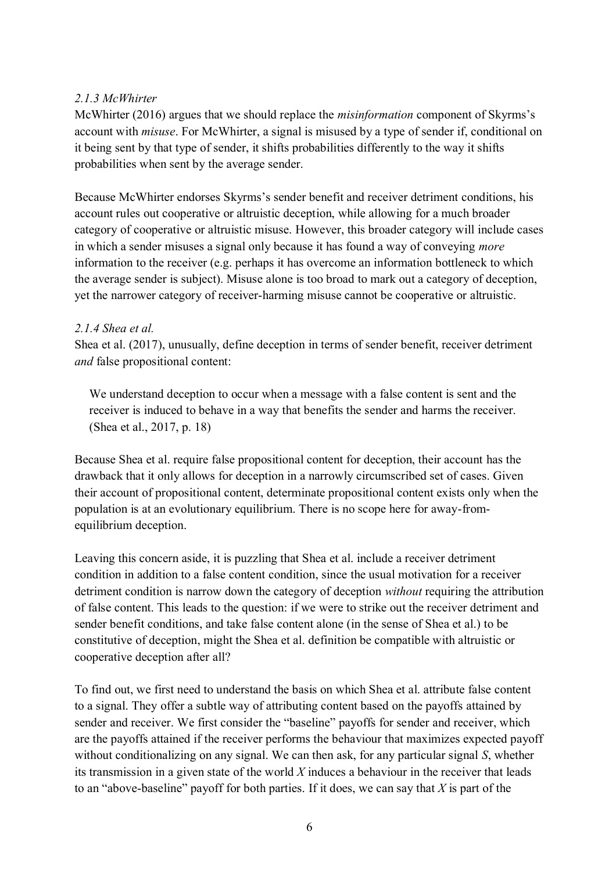### *2.1.3 McWhirter*

McWhirter (2016) argues that we should replace the *misinformation* component of Skyrms's account with *misuse*. For McWhirter, a signal is misused by a type of sender if, conditional on it being sent by that type of sender, it shifts probabilities differently to the way it shifts probabilities when sent by the average sender.

Because McWhirter endorses Skyrms's sender benefit and receiver detriment conditions, his account rules out cooperative or altruistic deception, while allowing for a much broader category of cooperative or altruistic misuse. However, this broader category will include cases in which a sender misuses a signal only because it has found a way of conveying *more* information to the receiver (e.g. perhaps it has overcome an information bottleneck to which the average sender is subject). Misuse alone is too broad to mark out a category of deception, yet the narrower category of receiver-harming misuse cannot be cooperative or altruistic.

### *2.1.4 Shea et al.*

Shea et al. (2017), unusually, define deception in terms of sender benefit, receiver detriment *and* false propositional content:

We understand deception to occur when a message with a false content is sent and the receiver is induced to behave in a way that benefits the sender and harms the receiver. (Shea et al., 2017, p. 18)

Because Shea et al. require false propositional content for deception, their account has the drawback that it only allows for deception in a narrowly circumscribed set of cases. Given their account of propositional content, determinate propositional content exists only when the population is at an evolutionary equilibrium. There is no scope here for away-fromequilibrium deception.

Leaving this concern aside, it is puzzling that Shea et al. include a receiver detriment condition in addition to a false content condition, since the usual motivation for a receiver detriment condition is narrow down the category of deception *without* requiring the attribution of false content. This leads to the question: if we were to strike out the receiver detriment and sender benefit conditions, and take false content alone (in the sense of Shea et al.) to be constitutive of deception, might the Shea et al. definition be compatible with altruistic or cooperative deception after all?

To find out, we first need to understand the basis on which Shea et al. attribute false content to a signal. They offer a subtle way of attributing content based on the payoffs attained by sender and receiver. We first consider the "baseline" payoffs for sender and receiver, which are the payoffs attained if the receiver performs the behaviour that maximizes expected payoff without conditionalizing on any signal. We can then ask, for any particular signal *S*, whether its transmission in a given state of the world *X* induces a behaviour in the receiver that leads to an "above-baseline" payoff for both parties. If it does, we can say that *X* is part of the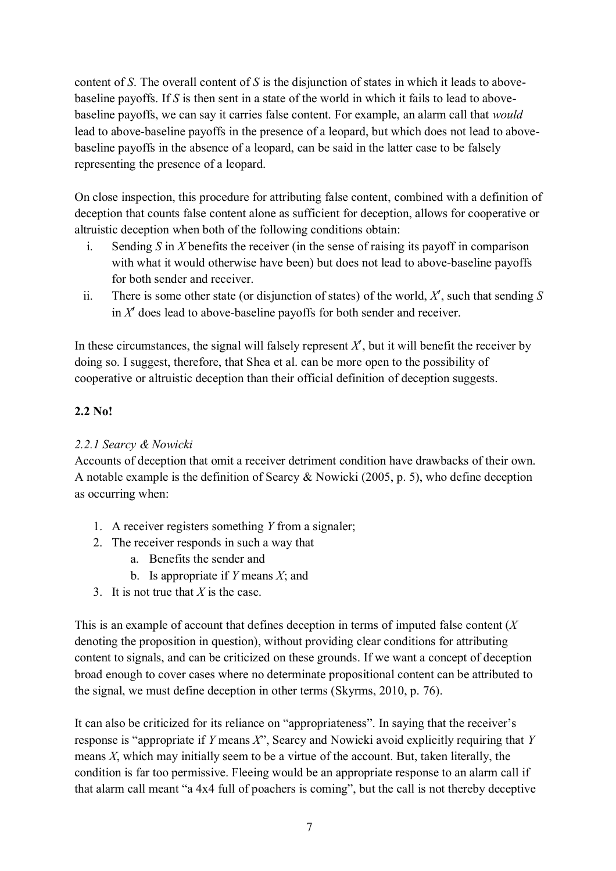content of *S*. The overall content of *S* is the disjunction of states in which it leads to abovebaseline payoffs. If *S* is then sent in a state of the world in which it fails to lead to abovebaseline payoffs, we can say it carries false content. For example, an alarm call that *would* lead to above-baseline payoffs in the presence of a leopard, but which does not lead to abovebaseline payoffs in the absence of a leopard, can be said in the latter case to be falsely representing the presence of a leopard.

On close inspection, this procedure for attributing false content, combined with a definition of deception that counts false content alone as sufficient for deception, allows for cooperative or altruistic deception when both of the following conditions obtain:

- i. Sending *S* in *X* benefits the receiver (in the sense of raising its payoff in comparison with what it would otherwise have been) but does not lead to above-baseline payoffs for both sender and receiver.
- ii. There is some other state (or disjunction of states) of the world, *X*′, such that sending *S* in *X*′ does lead to above-baseline payoffs for both sender and receiver.

In these circumstances, the signal will falsely represent  $X'$ , but it will benefit the receiver by doing so. I suggest, therefore, that Shea et al. can be more open to the possibility of cooperative or altruistic deception than their official definition of deception suggests.

## **2.2 No!**

## *2.2.1 Searcy & Nowicki*

Accounts of deception that omit a receiver detriment condition have drawbacks of their own. A notable example is the definition of Searcy & Nowicki (2005, p. 5), who define deception as occurring when:

- 1. A receiver registers something *Y* from a signaler;
- 2. The receiver responds in such a way that
	- a. Benefits the sender and
	- b. Is appropriate if *Y* means *X*; and
- 3. It is not true that *X* is the case.

This is an example of account that defines deception in terms of imputed false content (*X* denoting the proposition in question), without providing clear conditions for attributing content to signals, and can be criticized on these grounds. If we want a concept of deception broad enough to cover cases where no determinate propositional content can be attributed to the signal, we must define deception in other terms (Skyrms, 2010, p. 76).

It can also be criticized for its reliance on "appropriateness". In saying that the receiver's response is "appropriate if *Y* means *X*", Searcy and Nowicki avoid explicitly requiring that *Y* means *X*, which may initially seem to be a virtue of the account. But, taken literally, the condition is far too permissive. Fleeing would be an appropriate response to an alarm call if that alarm call meant "a 4x4 full of poachers is coming", but the call is not thereby deceptive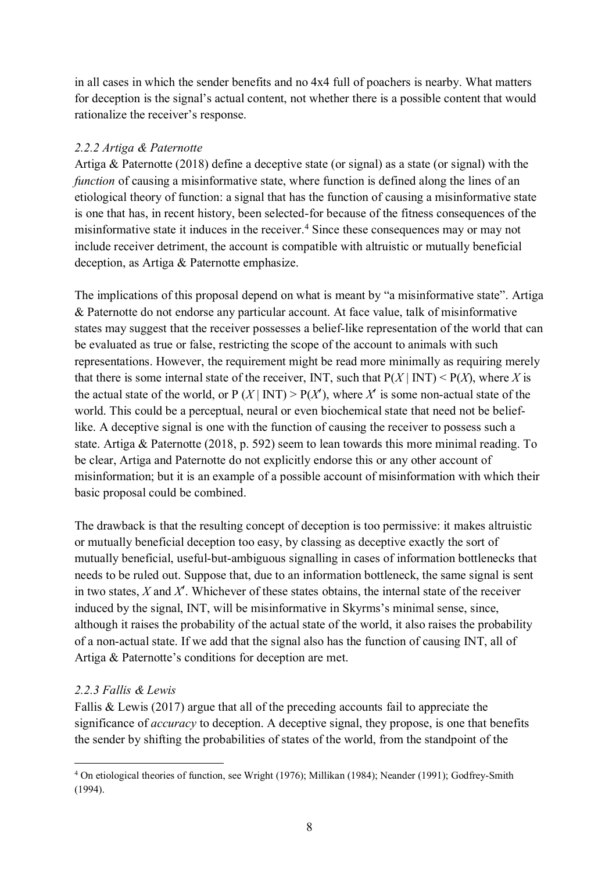in all cases in which the sender benefits and no 4x4 full of poachers is nearby. What matters for deception is the signal's actual content, not whether there is a possible content that would rationalize the receiver's response.

### *2.2.2 Artiga & Paternotte*

Artiga & Paternotte (2018) define a deceptive state (or signal) as a state (or signal) with the *function* of causing a misinformative state, where function is defined along the lines of an etiological theory of function: a signal that has the function of causing a misinformative state is one that has, in recent history, been selected-for because of the fitness consequences of the misinformative state it induces in the receiver. <sup>4</sup> Since these consequences may or may not include receiver detriment, the account is compatible with altruistic or mutually beneficial deception, as Artiga & Paternotte emphasize.

The implications of this proposal depend on what is meant by "a misinformative state". Artiga & Paternotte do not endorse any particular account. At face value, talk of misinformative states may suggest that the receiver possesses a belief-like representation of the world that can be evaluated as true or false, restricting the scope of the account to animals with such representations. However, the requirement might be read more minimally as requiring merely that there is some internal state of the receiver, INT, such that  $P(X | INT) < P(X)$ , where *X* is the actual state of the world, or  $P(X | INT) > P(X')$ , where X' is some non-actual state of the world. This could be a perceptual, neural or even biochemical state that need not be belieflike. A deceptive signal is one with the function of causing the receiver to possess such a state. Artiga & Paternotte (2018, p. 592) seem to lean towards this more minimal reading. To be clear, Artiga and Paternotte do not explicitly endorse this or any other account of misinformation; but it is an example of a possible account of misinformation with which their basic proposal could be combined.

The drawback is that the resulting concept of deception is too permissive: it makes altruistic or mutually beneficial deception too easy, by classing as deceptive exactly the sort of mutually beneficial, useful-but-ambiguous signalling in cases of information bottlenecks that needs to be ruled out. Suppose that, due to an information bottleneck, the same signal is sent in two states, *X* and *X*′. Whichever of these states obtains, the internal state of the receiver induced by the signal, INT, will be misinformative in Skyrms's minimal sense, since, although it raises the probability of the actual state of the world, it also raises the probability of a non-actual state. If we add that the signal also has the function of causing INT, all of Artiga & Paternotte's conditions for deception are met.

### *2.2.3 Fallis & Lewis*

Fallis & Lewis (2017) argue that all of the preceding accounts fail to appreciate the significance of *accuracy* to deception. A deceptive signal, they propose, is one that benefits the sender by shifting the probabilities of states of the world, from the standpoint of the

l <sup>4</sup> On etiological theories of function, see Wright (1976); Millikan (1984); Neander (1991); Godfrey-Smith (1994).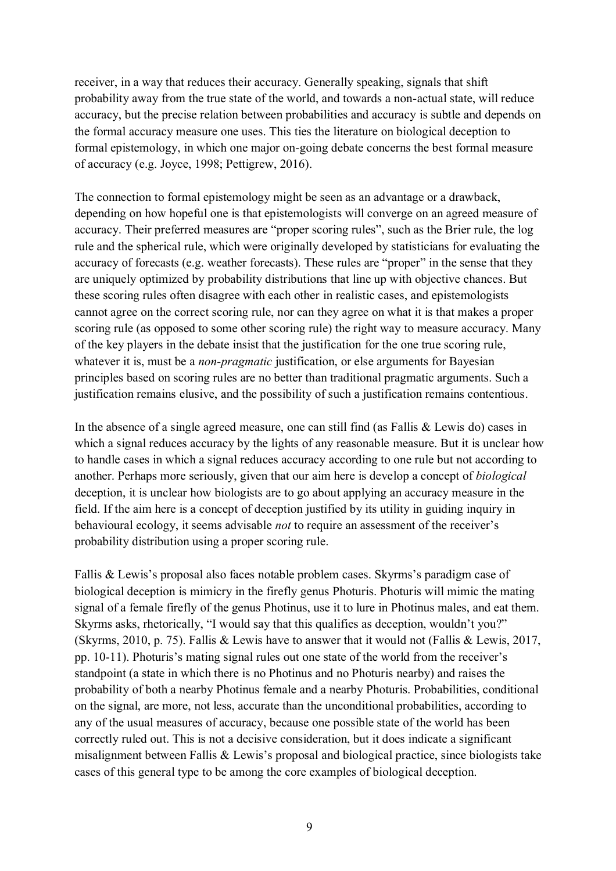receiver, in a way that reduces their accuracy. Generally speaking, signals that shift probability away from the true state of the world, and towards a non-actual state, will reduce accuracy, but the precise relation between probabilities and accuracy is subtle and depends on the formal accuracy measure one uses. This ties the literature on biological deception to formal epistemology, in which one major on-going debate concerns the best formal measure of accuracy (e.g. Joyce, 1998; Pettigrew, 2016).

The connection to formal epistemology might be seen as an advantage or a drawback, depending on how hopeful one is that epistemologists will converge on an agreed measure of accuracy. Their preferred measures are "proper scoring rules", such as the Brier rule, the log rule and the spherical rule, which were originally developed by statisticians for evaluating the accuracy of forecasts (e.g. weather forecasts). These rules are "proper" in the sense that they are uniquely optimized by probability distributions that line up with objective chances. But these scoring rules often disagree with each other in realistic cases, and epistemologists cannot agree on the correct scoring rule, nor can they agree on what it is that makes a proper scoring rule (as opposed to some other scoring rule) the right way to measure accuracy. Many of the key players in the debate insist that the justification for the one true scoring rule, whatever it is, must be a *non-pragmatic* justification, or else arguments for Bayesian principles based on scoring rules are no better than traditional pragmatic arguments. Such a justification remains elusive, and the possibility of such a justification remains contentious.

In the absence of a single agreed measure, one can still find (as Fallis & Lewis do) cases in which a signal reduces accuracy by the lights of any reasonable measure. But it is unclear how to handle cases in which a signal reduces accuracy according to one rule but not according to another. Perhaps more seriously, given that our aim here is develop a concept of *biological*  deception, it is unclear how biologists are to go about applying an accuracy measure in the field. If the aim here is a concept of deception justified by its utility in guiding inquiry in behavioural ecology, it seems advisable *not* to require an assessment of the receiver's probability distribution using a proper scoring rule.

Fallis & Lewis's proposal also faces notable problem cases. Skyrms's paradigm case of biological deception is mimicry in the firefly genus Photuris. Photuris will mimic the mating signal of a female firefly of the genus Photinus, use it to lure in Photinus males, and eat them. Skyrms asks, rhetorically, "I would say that this qualifies as deception, wouldn't you?" (Skyrms, 2010, p. 75). Fallis & Lewis have to answer that it would not (Fallis & Lewis, 2017, pp. 10-11). Photuris's mating signal rules out one state of the world from the receiver's standpoint (a state in which there is no Photinus and no Photuris nearby) and raises the probability of both a nearby Photinus female and a nearby Photuris. Probabilities, conditional on the signal, are more, not less, accurate than the unconditional probabilities, according to any of the usual measures of accuracy, because one possible state of the world has been correctly ruled out. This is not a decisive consideration, but it does indicate a significant misalignment between Fallis & Lewis's proposal and biological practice, since biologists take cases of this general type to be among the core examples of biological deception.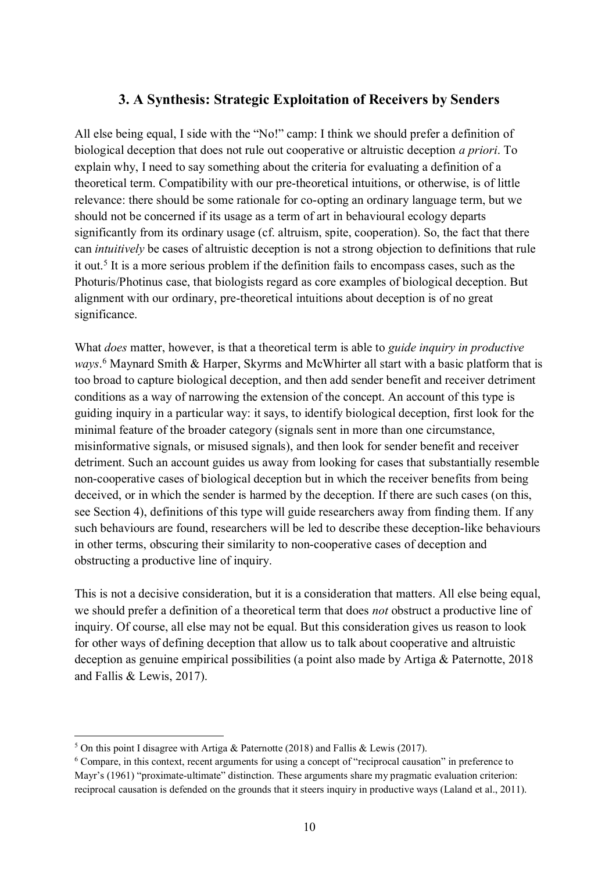## **3. A Synthesis: Strategic Exploitation of Receivers by Senders**

All else being equal, I side with the "No!" camp: I think we should prefer a definition of biological deception that does not rule out cooperative or altruistic deception *a priori*. To explain why, I need to say something about the criteria for evaluating a definition of a theoretical term. Compatibility with our pre-theoretical intuitions, or otherwise, is of little relevance: there should be some rationale for co-opting an ordinary language term, but we should not be concerned if its usage as a term of art in behavioural ecology departs significantly from its ordinary usage (cf. altruism, spite, cooperation). So, the fact that there can *intuitively* be cases of altruistic deception is not a strong objection to definitions that rule it out. 5 It is a more serious problem if the definition fails to encompass cases, such as the Photuris/Photinus case, that biologists regard as core examples of biological deception. But alignment with our ordinary, pre-theoretical intuitions about deception is of no great significance.

What *does* matter, however, is that a theoretical term is able to *guide inquiry in productive ways*. <sup>6</sup> Maynard Smith & Harper, Skyrms and McWhirter all start with a basic platform that is too broad to capture biological deception, and then add sender benefit and receiver detriment conditions as a way of narrowing the extension of the concept. An account of this type is guiding inquiry in a particular way: it says, to identify biological deception, first look for the minimal feature of the broader category (signals sent in more than one circumstance, misinformative signals, or misused signals), and then look for sender benefit and receiver detriment. Such an account guides us away from looking for cases that substantially resemble non-cooperative cases of biological deception but in which the receiver benefits from being deceived, or in which the sender is harmed by the deception. If there are such cases (on this, see Section 4), definitions of this type will guide researchers away from finding them. If any such behaviours are found, researchers will be led to describe these deception-like behaviours in other terms, obscuring their similarity to non-cooperative cases of deception and obstructing a productive line of inquiry.

This is not a decisive consideration, but it is a consideration that matters. All else being equal, we should prefer a definition of a theoretical term that does *not* obstruct a productive line of inquiry. Of course, all else may not be equal. But this consideration gives us reason to look for other ways of defining deception that allow us to talk about cooperative and altruistic deception as genuine empirical possibilities (a point also made by Artiga & Paternotte, 2018 and Fallis & Lewis, 2017).

 $\overline{a}$ 

<sup>&</sup>lt;sup>5</sup> On this point I disagree with Artiga & Paternotte (2018) and Fallis & Lewis (2017).

<sup>6</sup> Compare, in this context, recent arguments for using a concept of "reciprocal causation" in preference to Mayr's (1961) "proximate-ultimate" distinction. These arguments share my pragmatic evaluation criterion: reciprocal causation is defended on the grounds that it steers inquiry in productive ways (Laland et al., 2011).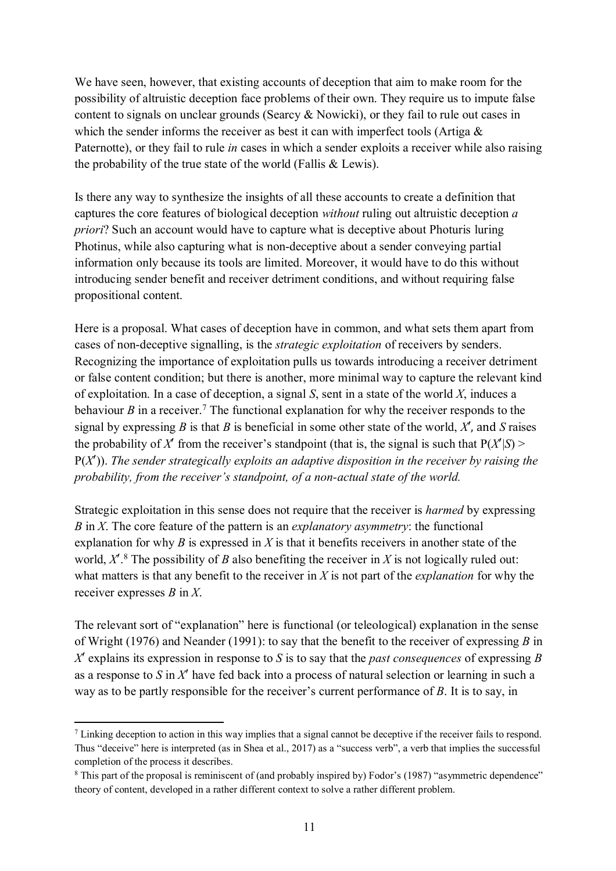We have seen, however, that existing accounts of deception that aim to make room for the possibility of altruistic deception face problems of their own. They require us to impute false content to signals on unclear grounds (Searcy & Nowicki), or they fail to rule out cases in which the sender informs the receiver as best it can with imperfect tools (Artiga  $\&$ Paternotte), or they fail to rule *in* cases in which a sender exploits a receiver while also raising the probability of the true state of the world (Fallis & Lewis).

Is there any way to synthesize the insights of all these accounts to create a definition that captures the core features of biological deception *without* ruling out altruistic deception *a priori*? Such an account would have to capture what is deceptive about Photuris luring Photinus, while also capturing what is non-deceptive about a sender conveying partial information only because its tools are limited. Moreover, it would have to do this without introducing sender benefit and receiver detriment conditions, and without requiring false propositional content.

Here is a proposal. What cases of deception have in common, and what sets them apart from cases of non-deceptive signalling, is the *strategic exploitation* of receivers by senders. Recognizing the importance of exploitation pulls us towards introducing a receiver detriment or false content condition; but there is another, more minimal way to capture the relevant kind of exploitation. In a case of deception, a signal *S*, sent in a state of the world *X*, induces a behaviour *B* in a receiver.<sup>7</sup> The functional explanation for why the receiver responds to the signal by expressing *B* is that *B* is beneficial in some other state of the world, *X*′, and *S* raises the probability of X<sup>'</sup> from the receiver's standpoint (that is, the signal is such that  $P(X'|S)$ ) P(*X*′)). *The sender strategically exploits an adaptive disposition in the receiver by raising the probability, from the receiver's standpoint, of a non-actual state of the world.*

Strategic exploitation in this sense does not require that the receiver is *harmed* by expressing *B* in *X*. The core feature of the pattern is an *explanatory asymmetry*: the functional explanation for why *B* is expressed in *X* is that it benefits receivers in another state of the world,  $X^{\prime}$ .<sup>8</sup> The possibility of *B* also benefiting the receiver in *X* is not logically ruled out: what matters is that any benefit to the receiver in *X* is not part of the *explanation* for why the receiver expresses *B* in *X*.

The relevant sort of "explanation" here is functional (or teleological) explanation in the sense of Wright (1976) and Neander (1991): to say that the benefit to the receiver of expressing *B* in *X*′ explains its expression in response to *S* is to say that the *past consequences* of expressing *B* as a response to *S* in *X*′ have fed back into a process of natural selection or learning in such a way as to be partly responsible for the receiver's current performance of *B*. It is to say, in

 $\overline{a}$ 

<sup>&</sup>lt;sup>7</sup> Linking deception to action in this way implies that a signal cannot be deceptive if the receiver fails to respond. Thus "deceive" here is interpreted (as in Shea et al., 2017) as a "success verb", a verb that implies the successful completion of the process it describes.

<sup>&</sup>lt;sup>8</sup> This part of the proposal is reminiscent of (and probably inspired by) Fodor's (1987) "asymmetric dependence" theory of content, developed in a rather different context to solve a rather different problem.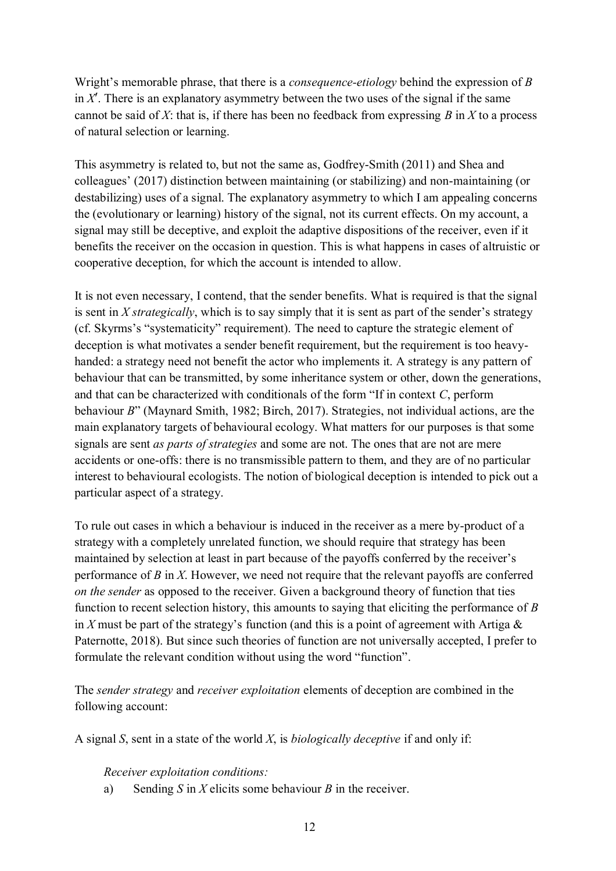Wright's memorable phrase, that there is a *consequence-etiology* behind the expression of *B* in  $X'$ . There is an explanatory asymmetry between the two uses of the signal if the same cannot be said of  $X$ : that is, if there has been no feedback from expressing  $B$  in  $X$  to a process of natural selection or learning.

This asymmetry is related to, but not the same as, Godfrey-Smith (2011) and Shea and colleagues' (2017) distinction between maintaining (or stabilizing) and non-maintaining (or destabilizing) uses of a signal. The explanatory asymmetry to which I am appealing concerns the (evolutionary or learning) history of the signal, not its current effects. On my account, a signal may still be deceptive, and exploit the adaptive dispositions of the receiver, even if it benefits the receiver on the occasion in question. This is what happens in cases of altruistic or cooperative deception, for which the account is intended to allow.

It is not even necessary, I contend, that the sender benefits. What is required is that the signal is sent in *X strategically*, which is to say simply that it is sent as part of the sender's strategy (cf. Skyrms's "systematicity" requirement). The need to capture the strategic element of deception is what motivates a sender benefit requirement, but the requirement is too heavyhanded: a strategy need not benefit the actor who implements it. A strategy is any pattern of behaviour that can be transmitted, by some inheritance system or other, down the generations, and that can be characterized with conditionals of the form "If in context *C*, perform behaviour *B*" (Maynard Smith, 1982; Birch, 2017). Strategies, not individual actions, are the main explanatory targets of behavioural ecology. What matters for our purposes is that some signals are sent *as parts of strategies* and some are not. The ones that are not are mere accidents or one-offs: there is no transmissible pattern to them, and they are of no particular interest to behavioural ecologists. The notion of biological deception is intended to pick out a particular aspect of a strategy.

To rule out cases in which a behaviour is induced in the receiver as a mere by-product of a strategy with a completely unrelated function, we should require that strategy has been maintained by selection at least in part because of the payoffs conferred by the receiver's performance of *B* in *X*. However, we need not require that the relevant payoffs are conferred *on the sender* as opposed to the receiver. Given a background theory of function that ties function to recent selection history, this amounts to saying that eliciting the performance of *B* in *X* must be part of the strategy's function (and this is a point of agreement with Artiga  $\&$ Paternotte, 2018). But since such theories of function are not universally accepted, I prefer to formulate the relevant condition without using the word "function".

The *sender strategy* and *receiver exploitation* elements of deception are combined in the following account:

A signal *S*, sent in a state of the world *X*, is *biologically deceptive* if and only if:

#### *Receiver exploitation conditions:*

a) Sending *S* in *X* elicits some behaviour *B* in the receiver.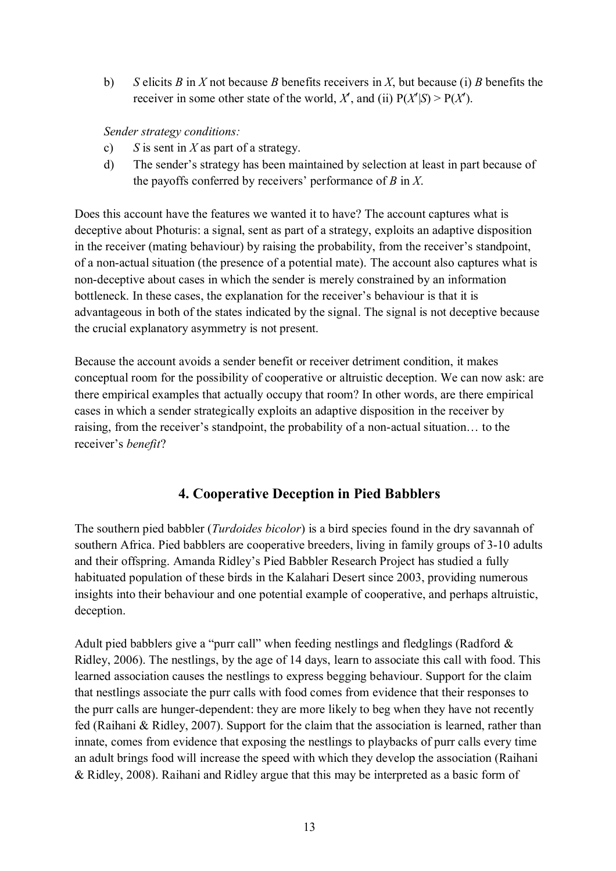b) *S* elicits *B* in *X* not because *B* benefits receivers in *X*, but because (i) *B* benefits the receiver in some other state of the world,  $X'$ , and (ii)  $P(X'|S) > P(X')$ .

#### *Sender strategy conditions:*

- c) *S* is sent in *X* as part of a strategy.
- d) The sender's strategy has been maintained by selection at least in part because of the payoffs conferred by receivers' performance of *B* in *X*.

Does this account have the features we wanted it to have? The account captures what is deceptive about Photuris: a signal, sent as part of a strategy, exploits an adaptive disposition in the receiver (mating behaviour) by raising the probability, from the receiver's standpoint, of a non-actual situation (the presence of a potential mate). The account also captures what is non-deceptive about cases in which the sender is merely constrained by an information bottleneck. In these cases, the explanation for the receiver's behaviour is that it is advantageous in both of the states indicated by the signal. The signal is not deceptive because the crucial explanatory asymmetry is not present.

Because the account avoids a sender benefit or receiver detriment condition, it makes conceptual room for the possibility of cooperative or altruistic deception. We can now ask: are there empirical examples that actually occupy that room? In other words, are there empirical cases in which a sender strategically exploits an adaptive disposition in the receiver by raising, from the receiver's standpoint, the probability of a non-actual situation… to the receiver's *benefit*?

# **4. Cooperative Deception in Pied Babblers**

The southern pied babbler (*Turdoides bicolor*) is a bird species found in the dry savannah of southern Africa. Pied babblers are cooperative breeders, living in family groups of 3-10 adults and their offspring. Amanda Ridley's Pied Babbler Research Project has studied a fully habituated population of these birds in the Kalahari Desert since 2003, providing numerous insights into their behaviour and one potential example of cooperative, and perhaps altruistic, deception.

Adult pied babblers give a "purr call" when feeding nestlings and fledglings (Radford & Ridley, 2006). The nestlings, by the age of 14 days, learn to associate this call with food. This learned association causes the nestlings to express begging behaviour. Support for the claim that nestlings associate the purr calls with food comes from evidence that their responses to the purr calls are hunger-dependent: they are more likely to beg when they have not recently fed (Raihani & Ridley, 2007). Support for the claim that the association is learned, rather than innate, comes from evidence that exposing the nestlings to playbacks of purr calls every time an adult brings food will increase the speed with which they develop the association (Raihani & Ridley, 2008). Raihani and Ridley argue that this may be interpreted as a basic form of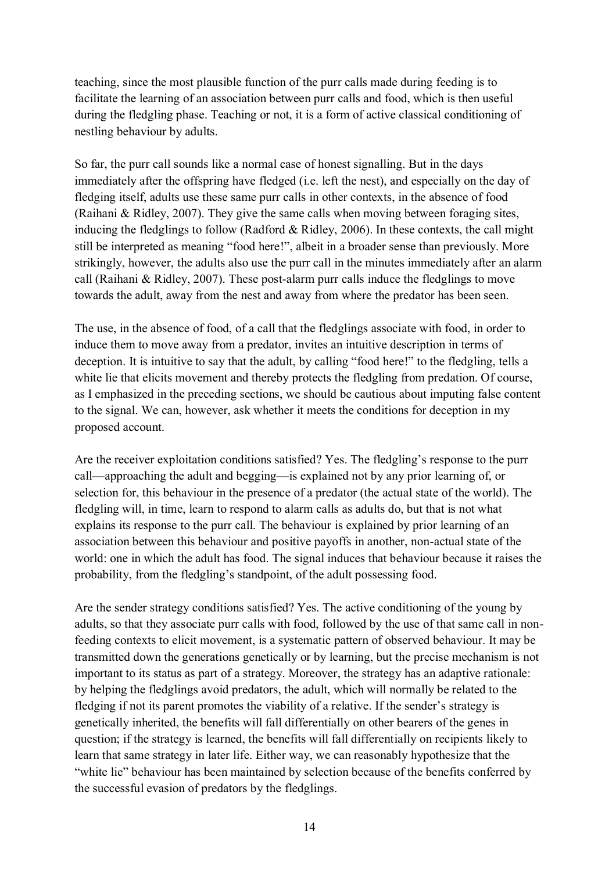teaching, since the most plausible function of the purr calls made during feeding is to facilitate the learning of an association between purr calls and food, which is then useful during the fledgling phase. Teaching or not, it is a form of active classical conditioning of nestling behaviour by adults.

So far, the purr call sounds like a normal case of honest signalling. But in the days immediately after the offspring have fledged (i.e. left the nest), and especially on the day of fledging itself, adults use these same purr calls in other contexts, in the absence of food (Raihani & Ridley, 2007). They give the same calls when moving between foraging sites, inducing the fledglings to follow (Radford & Ridley, 2006). In these contexts, the call might still be interpreted as meaning "food here!", albeit in a broader sense than previously. More strikingly, however, the adults also use the purr call in the minutes immediately after an alarm call (Raihani & Ridley, 2007). These post-alarm purr calls induce the fledglings to move towards the adult, away from the nest and away from where the predator has been seen.

The use, in the absence of food, of a call that the fledglings associate with food, in order to induce them to move away from a predator, invites an intuitive description in terms of deception. It is intuitive to say that the adult, by calling "food here!" to the fledgling, tells a white lie that elicits movement and thereby protects the fledgling from predation. Of course, as I emphasized in the preceding sections, we should be cautious about imputing false content to the signal. We can, however, ask whether it meets the conditions for deception in my proposed account.

Are the receiver exploitation conditions satisfied? Yes. The fledgling's response to the purr call—approaching the adult and begging—is explained not by any prior learning of, or selection for, this behaviour in the presence of a predator (the actual state of the world). The fledgling will, in time, learn to respond to alarm calls as adults do, but that is not what explains its response to the purr call. The behaviour is explained by prior learning of an association between this behaviour and positive payoffs in another, non-actual state of the world: one in which the adult has food. The signal induces that behaviour because it raises the probability, from the fledgling's standpoint, of the adult possessing food.

Are the sender strategy conditions satisfied? Yes. The active conditioning of the young by adults, so that they associate purr calls with food, followed by the use of that same call in nonfeeding contexts to elicit movement, is a systematic pattern of observed behaviour. It may be transmitted down the generations genetically or by learning, but the precise mechanism is not important to its status as part of a strategy. Moreover, the strategy has an adaptive rationale: by helping the fledglings avoid predators, the adult, which will normally be related to the fledging if not its parent promotes the viability of a relative. If the sender's strategy is genetically inherited, the benefits will fall differentially on other bearers of the genes in question; if the strategy is learned, the benefits will fall differentially on recipients likely to learn that same strategy in later life. Either way, we can reasonably hypothesize that the "white lie" behaviour has been maintained by selection because of the benefits conferred by the successful evasion of predators by the fledglings.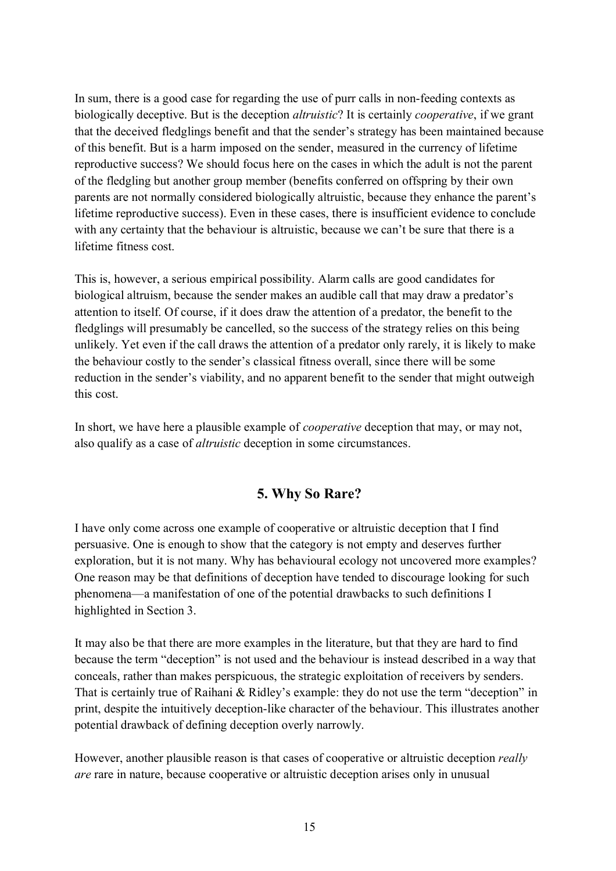In sum, there is a good case for regarding the use of purr calls in non-feeding contexts as biologically deceptive. But is the deception *altruistic*? It is certainly *cooperative*, if we grant that the deceived fledglings benefit and that the sender's strategy has been maintained because of this benefit. But is a harm imposed on the sender, measured in the currency of lifetime reproductive success? We should focus here on the cases in which the adult is not the parent of the fledgling but another group member (benefits conferred on offspring by their own parents are not normally considered biologically altruistic, because they enhance the parent's lifetime reproductive success). Even in these cases, there is insufficient evidence to conclude with any certainty that the behaviour is altruistic, because we can't be sure that there is a lifetime fitness cost.

This is, however, a serious empirical possibility. Alarm calls are good candidates for biological altruism, because the sender makes an audible call that may draw a predator's attention to itself. Of course, if it does draw the attention of a predator, the benefit to the fledglings will presumably be cancelled, so the success of the strategy relies on this being unlikely. Yet even if the call draws the attention of a predator only rarely, it is likely to make the behaviour costly to the sender's classical fitness overall, since there will be some reduction in the sender's viability, and no apparent benefit to the sender that might outweigh this cost.

In short, we have here a plausible example of *cooperative* deception that may, or may not, also qualify as a case of *altruistic* deception in some circumstances.

# **5. Why So Rare?**

I have only come across one example of cooperative or altruistic deception that I find persuasive. One is enough to show that the category is not empty and deserves further exploration, but it is not many. Why has behavioural ecology not uncovered more examples? One reason may be that definitions of deception have tended to discourage looking for such phenomena—a manifestation of one of the potential drawbacks to such definitions I highlighted in Section 3.

It may also be that there are more examples in the literature, but that they are hard to find because the term "deception" is not used and the behaviour is instead described in a way that conceals, rather than makes perspicuous, the strategic exploitation of receivers by senders. That is certainly true of Raihani & Ridley's example: they do not use the term "deception" in print, despite the intuitively deception-like character of the behaviour. This illustrates another potential drawback of defining deception overly narrowly.

However, another plausible reason is that cases of cooperative or altruistic deception *really are* rare in nature, because cooperative or altruistic deception arises only in unusual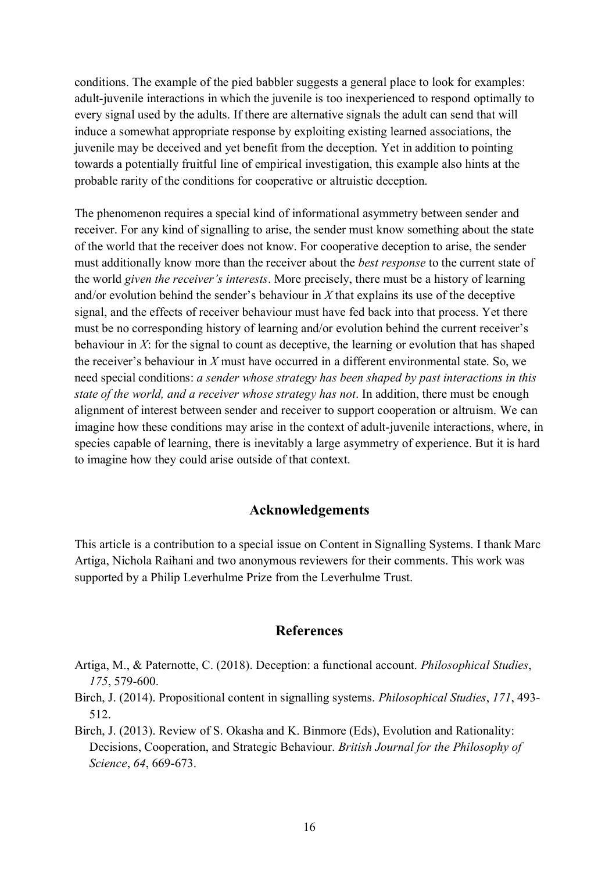conditions. The example of the pied babbler suggests a general place to look for examples: adult-juvenile interactions in which the juvenile is too inexperienced to respond optimally to every signal used by the adults. If there are alternative signals the adult can send that will induce a somewhat appropriate response by exploiting existing learned associations, the juvenile may be deceived and yet benefit from the deception. Yet in addition to pointing towards a potentially fruitful line of empirical investigation, this example also hints at the probable rarity of the conditions for cooperative or altruistic deception.

The phenomenon requires a special kind of informational asymmetry between sender and receiver. For any kind of signalling to arise, the sender must know something about the state of the world that the receiver does not know. For cooperative deception to arise, the sender must additionally know more than the receiver about the *best response* to the current state of the world *given the receiver's interests*. More precisely, there must be a history of learning and/or evolution behind the sender's behaviour in *X* that explains its use of the deceptive signal, and the effects of receiver behaviour must have fed back into that process. Yet there must be no corresponding history of learning and/or evolution behind the current receiver's behaviour in  $X$ : for the signal to count as deceptive, the learning or evolution that has shaped the receiver's behaviour in *X* must have occurred in a different environmental state. So, we need special conditions: *a sender whose strategy has been shaped by past interactions in this state of the world, and a receiver whose strategy has not*. In addition, there must be enough alignment of interest between sender and receiver to support cooperation or altruism. We can imagine how these conditions may arise in the context of adult-juvenile interactions, where, in species capable of learning, there is inevitably a large asymmetry of experience. But it is hard to imagine how they could arise outside of that context.

#### **Acknowledgements**

This article is a contribution to a special issue on Content in Signalling Systems. I thank Marc Artiga, Nichola Raihani and two anonymous reviewers for their comments. This work was supported by a Philip Leverhulme Prize from the Leverhulme Trust.

#### **References**

- Artiga, M., & Paternotte, C. (2018). Deception: a functional account. *Philosophical Studies*, *175*, 579-600.
- Birch, J. (2014). Propositional content in signalling systems. *Philosophical Studies*, *171*, 493- 512.
- Birch, J. (2013). Review of S. Okasha and K. Binmore (Eds), Evolution and Rationality: Decisions, Cooperation, and Strategic Behaviour. *British Journal for the Philosophy of Science*, *64*, 669-673.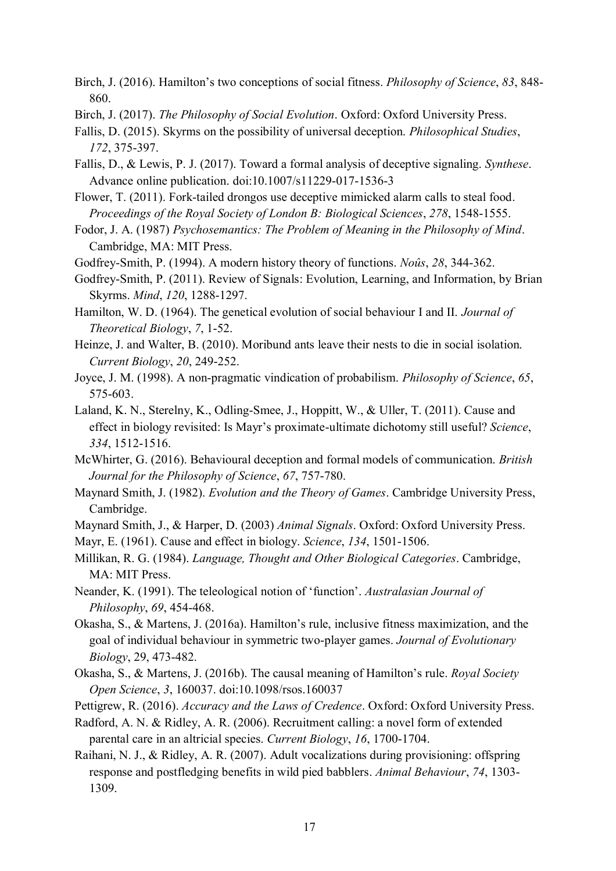- Birch, J. (2016). Hamilton's two conceptions of social fitness. *Philosophy of Science*, *83*, 848- 860.
- Birch, J. (2017). *The Philosophy of Social Evolution*. Oxford: Oxford University Press.
- Fallis, D. (2015). Skyrms on the possibility of universal deception. *Philosophical Studies*, *172*, 375-397.
- Fallis, D., & Lewis, P. J. (2017). Toward a formal analysis of deceptive signaling. *Synthese*. Advance online publication. doi:10.1007/s11229-017-1536-3
- Flower, T. (2011). Fork-tailed drongos use deceptive mimicked alarm calls to steal food. *Proceedings of the Royal Society of London B: Biological Sciences*, *278*, 1548-1555.
- Fodor, J. A. (1987) *Psychosemantics: The Problem of Meaning in the Philosophy of Mind*. Cambridge, MA: MIT Press.
- Godfrey-Smith, P. (1994). A modern history theory of functions. *Noûs*, *28*, 344-362.
- Godfrey-Smith, P. (2011). Review of Signals: Evolution, Learning, and Information, by Brian Skyrms. *Mind*, *120*, 1288-1297.
- Hamilton, W. D. (1964). The genetical evolution of social behaviour I and II. *Journal of Theoretical Biology*, *7*, 1-52.
- Heinze, J. and Walter, B. (2010). Moribund ants leave their nests to die in social isolation. *Current Biology*, *20*, 249-252.
- Joyce, J. M. (1998). A non-pragmatic vindication of probabilism. *Philosophy of Science*, *65*, 575-603.
- Laland, K. N., Sterelny, K., Odling-Smee, J., Hoppitt, W., & Uller, T. (2011). Cause and effect in biology revisited: Is Mayr's proximate-ultimate dichotomy still useful? *Science*, *334*, 1512-1516.
- McWhirter, G. (2016). Behavioural deception and formal models of communication. *British Journal for the Philosophy of Science*, *67*, 757-780.
- Maynard Smith, J. (1982). *Evolution and the Theory of Games*. Cambridge University Press, Cambridge.
- Maynard Smith, J., & Harper, D. (2003) *Animal Signals*. Oxford: Oxford University Press.
- Mayr, E. (1961). Cause and effect in biology. *Science*, *134*, 1501-1506.
- Millikan, R. G. (1984). *Language, Thought and Other Biological Categories*. Cambridge, MA: MIT Press.
- Neander, K. (1991). The teleological notion of 'function'. *Australasian Journal of Philosophy*, *69*, 454-468.
- Okasha, S., & Martens, J. (2016a). Hamilton's rule, inclusive fitness maximization, and the goal of individual behaviour in symmetric two-player games. *Journal of Evolutionary Biology*, 29, 473-482.
- Okasha, S., & Martens, J. (2016b). The causal meaning of Hamilton's rule. *Royal Society Open Science*, *3*, 160037. doi:10.1098/rsos.160037
- Pettigrew, R. (2016). *Accuracy and the Laws of Credence*. Oxford: Oxford University Press.
- Radford, A. N. & Ridley, A. R. (2006). Recruitment calling: a novel form of extended parental care in an altricial species. *Current Biology*, *16*, 1700-1704.
- Raihani, N. J., & Ridley, A. R. (2007). Adult vocalizations during provisioning: offspring response and postfledging benefits in wild pied babblers. *Animal Behaviour*, *74*, 1303- 1309.